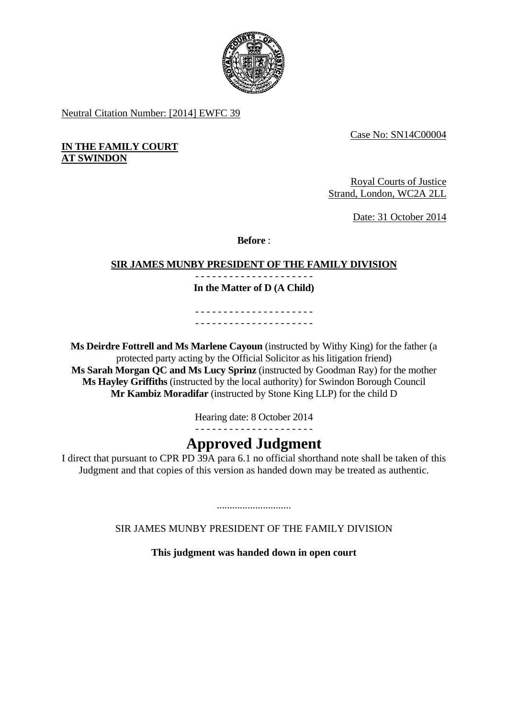

Neutral Citation Number: [2014] EWFC 39

Case No: SN14C00004

## **IN THE FAMILY COURT AT SWINDON**

Royal Courts of Justice Strand, London, WC2A 2LL

Date: 31 October 2014

**Before** :

# **SIR JAMES MUNBY PRESIDENT OF THE FAMILY DIVISION**

- - - - - - - - - - - - - - - - - - - - - **In the Matter of D (A Child)** 

- - - - - - - - - - - - - - - - - - - - - - - - - - - - - - - - - - - - - - - - - -

 protected party acting by the Official Solicitor as his litigation friend) **Ms Deirdre Fottrell and Ms Marlene Cayoun** (instructed by Withy King) for the father (a **Ms Sarah Morgan QC and Ms Lucy Sprinz** (instructed by Goodman Ray) for the mother **Ms Hayley Griffiths** (instructed by the local authority) for Swindon Borough Council **Mr Kambiz Moradifar** (instructed by Stone King LLP) for the child D

Hearing date: 8 October 2014

- - - - - - - - - - - - - - - - - - - - -

# **Approved Judgment**

I direct that pursuant to CPR PD 39A para 6.1 no official shorthand note shall be taken of this Judgment and that copies of this version as handed down may be treated as authentic.

SIR JAMES MUNBY PRESIDENT OF THE FAMILY DIVISION

.............................

**This judgment was handed down in open court**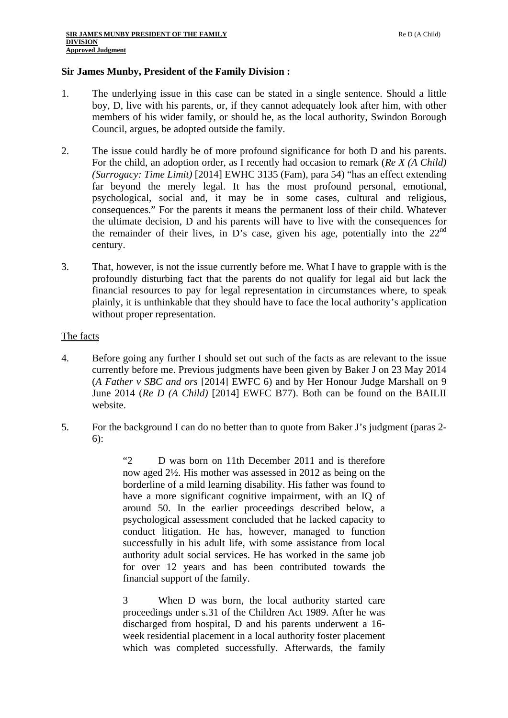### **Sir James Munby, President of the Family Division :**

- 1. The underlying issue in this case can be stated in a single sentence. Should a little boy, D, live with his parents, or, if they cannot adequately look after him, with other members of his wider family, or should he, as the local authority, Swindon Borough Council, argues, be adopted outside the family.
- 2. The issue could hardly be of more profound significance for both D and his parents. For the child, an adoption order, as I recently had occasion to remark (*Re X (A Child) (Surrogacy: Time Limit)* [2014] EWHC 3135 (Fam), para 54) "has an effect extending far beyond the merely legal. It has the most profound personal, emotional, psychological, social and, it may be in some cases, cultural and religious, consequences." For the parents it means the permanent loss of their child. Whatever the ultimate decision, D and his parents will have to live with the consequences for the remainder of their lives, in D's case, given his age, potentially into the  $22<sup>nd</sup>$ century.
- 3. That, however, is not the issue currently before me. What I have to grapple with is the profoundly disturbing fact that the parents do not qualify for legal aid but lack the financial resources to pay for legal representation in circumstances where, to speak plainly, it is unthinkable that they should have to face the local authority's application without proper representation.

### The facts

- 4. Before going any further I should set out such of the facts as are relevant to the issue currently before me. Previous judgments have been given by Baker J on 23 May 2014 (*A Father v SBC and ors* [2014] EWFC 6) and by Her Honour Judge Marshall on 9 June 2014 (*Re D (A Child)* [2014] EWFC B77). Both can be found on the BAILII website.
- 5. For the background I can do no better than to quote from Baker J's judgment (paras 2-6):

"2 D was born on 11th December 2011 and is therefore now aged 2½. His mother was assessed in 2012 as being on the borderline of a mild learning disability. His father was found to have a more significant cognitive impairment, with an IQ of around 50. In the earlier proceedings described below, a psychological assessment concluded that he lacked capacity to conduct litigation. He has, however, managed to function successfully in his adult life, with some assistance from local authority adult social services. He has worked in the same job for over 12 years and has been contributed towards the financial support of the family.

3 When D was born, the local authority started care proceedings under s.31 of the Children Act 1989. After he was discharged from hospital, D and his parents underwent a 16 week residential placement in a local authority foster placement which was completed successfully. Afterwards, the family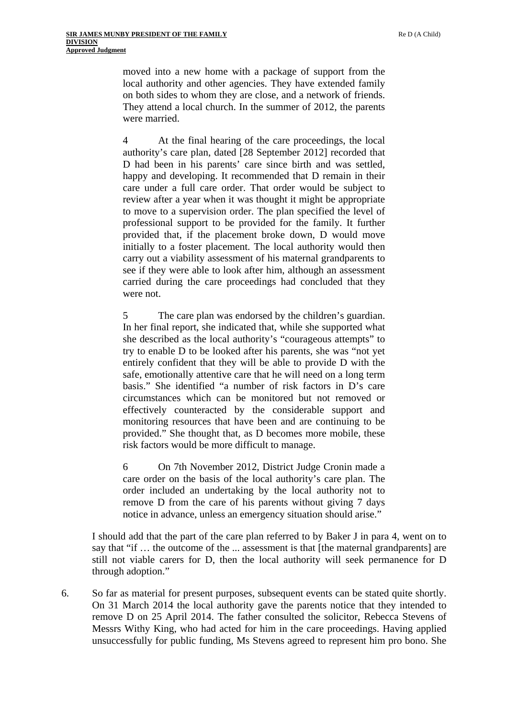moved into a new home with a package of support from the local authority and other agencies. They have extended family on both sides to whom they are close, and a network of friends. They attend a local church. In the summer of 2012, the parents were married.

4 At the final hearing of the care proceedings, the local authority's care plan, dated [28 September 2012] recorded that D had been in his parents' care since birth and was settled, happy and developing. It recommended that D remain in their care under a full care order. That order would be subject to review after a year when it was thought it might be appropriate to move to a supervision order. The plan specified the level of professional support to be provided for the family. It further provided that, if the placement broke down, D would move initially to a foster placement. The local authority would then carry out a viability assessment of his maternal grandparents to see if they were able to look after him, although an assessment carried during the care proceedings had concluded that they were not.

5 The care plan was endorsed by the children's guardian. In her final report, she indicated that, while she supported what she described as the local authority's "courageous attempts" to try to enable D to be looked after his parents, she was "not yet entirely confident that they will be able to provide D with the safe, emotionally attentive care that he will need on a long term basis." She identified "a number of risk factors in D's care circumstances which can be monitored but not removed or effectively counteracted by the considerable support and monitoring resources that have been and are continuing to be provided." She thought that, as D becomes more mobile, these risk factors would be more difficult to manage.

6 On 7th November 2012, District Judge Cronin made a care order on the basis of the local authority's care plan. The order included an undertaking by the local authority not to remove D from the care of his parents without giving 7 days notice in advance, unless an emergency situation should arise."

I should add that the part of the care plan referred to by Baker J in para 4, went on to say that "if … the outcome of the ... assessment is that [the maternal grandparents] are still not viable carers for D, then the local authority will seek permanence for D through adoption."

6. So far as material for present purposes, subsequent events can be stated quite shortly. On 31 March 2014 the local authority gave the parents notice that they intended to remove D on 25 April 2014. The father consulted the solicitor, Rebecca Stevens of Messrs Withy King, who had acted for him in the care proceedings. Having applied unsuccessfully for public funding, Ms Stevens agreed to represent him pro bono. She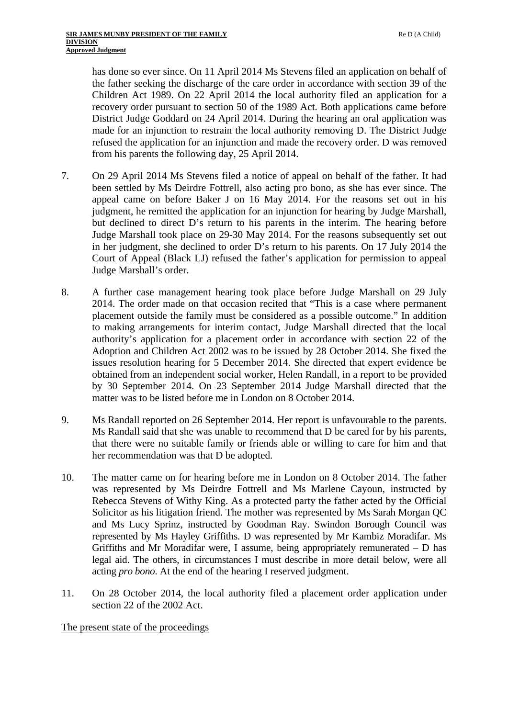has done so ever since. On 11 April 2014 Ms Stevens filed an application on behalf of the father seeking the discharge of the care order in accordance with section 39 of the Children Act 1989. On 22 April 2014 the local authority filed an application for a recovery order pursuant to section 50 of the 1989 Act. Both applications came before District Judge Goddard on 24 April 2014. During the hearing an oral application was made for an injunction to restrain the local authority removing D. The District Judge refused the application for an injunction and made the recovery order. D was removed from his parents the following day, 25 April 2014.

- 7. On 29 April 2014 Ms Stevens filed a notice of appeal on behalf of the father. It had been settled by Ms Deirdre Fottrell, also acting pro bono, as she has ever since. The appeal came on before Baker J on 16 May 2014. For the reasons set out in his judgment, he remitted the application for an injunction for hearing by Judge Marshall, but declined to direct D's return to his parents in the interim. The hearing before Judge Marshall took place on 29-30 May 2014. For the reasons subsequently set out in her judgment, she declined to order D's return to his parents. On 17 July 2014 the Court of Appeal (Black LJ) refused the father's application for permission to appeal Judge Marshall's order.
- 8. A further case management hearing took place before Judge Marshall on 29 July 2014. The order made on that occasion recited that "This is a case where permanent placement outside the family must be considered as a possible outcome." In addition to making arrangements for interim contact, Judge Marshall directed that the local authority's application for a placement order in accordance with section 22 of the Adoption and Children Act 2002 was to be issued by 28 October 2014. She fixed the issues resolution hearing for 5 December 2014. She directed that expert evidence be obtained from an independent social worker, Helen Randall, in a report to be provided by 30 September 2014. On 23 September 2014 Judge Marshall directed that the matter was to be listed before me in London on 8 October 2014.
- 9. Ms Randall reported on 26 September 2014. Her report is unfavourable to the parents. Ms Randall said that she was unable to recommend that D be cared for by his parents, that there were no suitable family or friends able or willing to care for him and that her recommendation was that D be adopted.
- 10. The matter came on for hearing before me in London on 8 October 2014. The father was represented by Ms Deirdre Fottrell and Ms Marlene Cayoun, instructed by Rebecca Stevens of Withy King. As a protected party the father acted by the Official Solicitor as his litigation friend. The mother was represented by Ms Sarah Morgan QC and Ms Lucy Sprinz, instructed by Goodman Ray. Swindon Borough Council was represented by Ms Hayley Griffiths. D was represented by Mr Kambiz Moradifar. Ms Griffiths and Mr Moradifar were, I assume, being appropriately remunerated – D has legal aid. The others, in circumstances I must describe in more detail below, were all acting *pro bono*. At the end of the hearing I reserved judgment.
- 11. On 28 October 2014, the local authority filed a placement order application under section 22 of the 2002 Act.

#### The present state of the proceedings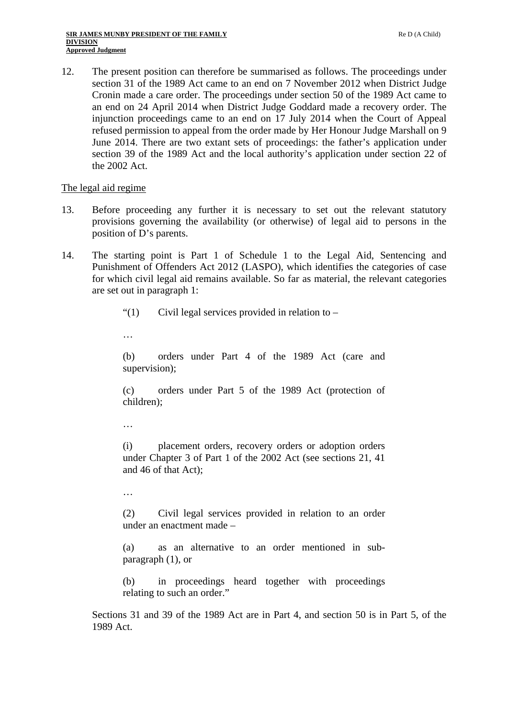12. The present position can therefore be summarised as follows. The proceedings under section 31 of the 1989 Act came to an end on 7 November 2012 when District Judge Cronin made a care order. The proceedings under section 50 of the 1989 Act came to an end on 24 April 2014 when District Judge Goddard made a recovery order. The injunction proceedings came to an end on 17 July 2014 when the Court of Appeal refused permission to appeal from the order made by Her Honour Judge Marshall on 9 June 2014. There are two extant sets of proceedings: the father's application under section 39 of the 1989 Act and the local authority's application under section 22 of the 2002 Act.

### The legal aid regime

- 13. Before proceeding any further it is necessary to set out the relevant statutory provisions governing the availability (or otherwise) of legal aid to persons in the position of D's parents.
- 14. The starting point is Part 1 of Schedule 1 to the Legal Aid, Sentencing and Punishment of Offenders Act 2012 (LASPO), which identifies the categories of case for which civil legal aid remains available. So far as material, the relevant categories are set out in paragraph 1:

"(1) Civil legal services provided in relation to  $-$ 

…

(b) orders under Part 4 of the 1989 Act (care and supervision);

(c) orders under Part 5 of the 1989 Act (protection of children);

…

(i) placement orders, recovery orders or adoption orders under Chapter 3 of Part 1 of the 2002 Act (see sections 21, 41 and 46 of that Act);

…

(2) Civil legal services provided in relation to an order under an enactment made –

(a) as an alternative to an order mentioned in subparagraph (1), or

(b) in proceedings heard together with proceedings relating to such an order."

Sections 31 and 39 of the 1989 Act are in Part 4, and section 50 is in Part 5, of the 1989 Act.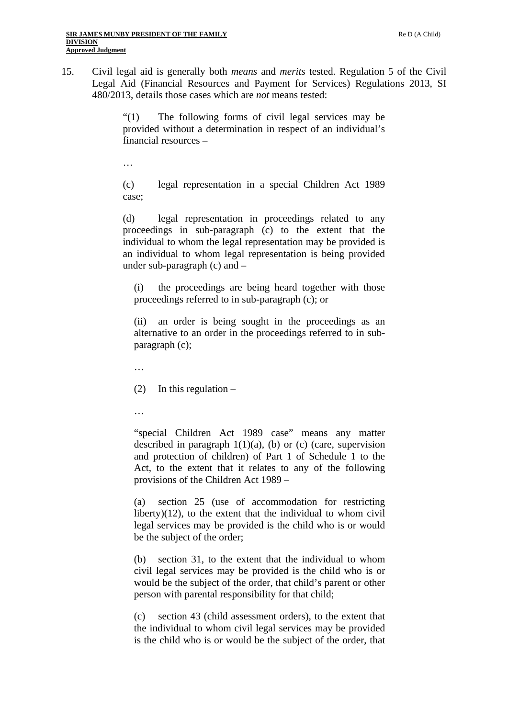15. Civil legal aid is generally both *means* and *merits* tested. Regulation 5 of the Civil Legal Aid (Financial Resources and Payment for Services) Regulations 2013, SI 480/2013, details those cases which are *not* means tested:

> "(1) The following forms of civil legal services may be provided without a determination in respect of an individual's financial resources –

…

(c) legal representation in a special Children Act 1989 case;

(d) legal representation in proceedings related to any proceedings in sub-paragraph (c) to the extent that the individual to whom the legal representation may be provided is an individual to whom legal representation is being provided under sub-paragraph (c) and –

(i) the proceedings are being heard together with those proceedings referred to in sub-paragraph (c); or

(ii) an order is being sought in the proceedings as an alternative to an order in the proceedings referred to in subparagraph (c);

…

(2) In this regulation  $-$ 

…

"special Children Act 1989 case" means any matter described in paragraph  $1(1)(a)$ , (b) or (c) (care, supervision and protection of children) of Part 1 of Schedule 1 to the Act, to the extent that it relates to any of the following provisions of the Children Act 1989 –

(a) section 25 (use of accommodation for restricting liberty)(12), to the extent that the individual to whom civil legal services may be provided is the child who is or would be the subject of the order;

(b) section 31, to the extent that the individual to whom civil legal services may be provided is the child who is or would be the subject of the order, that child's parent or other person with parental responsibility for that child;

(c) section 43 (child assessment orders), to the extent that the individual to whom civil legal services may be provided is the child who is or would be the subject of the order, that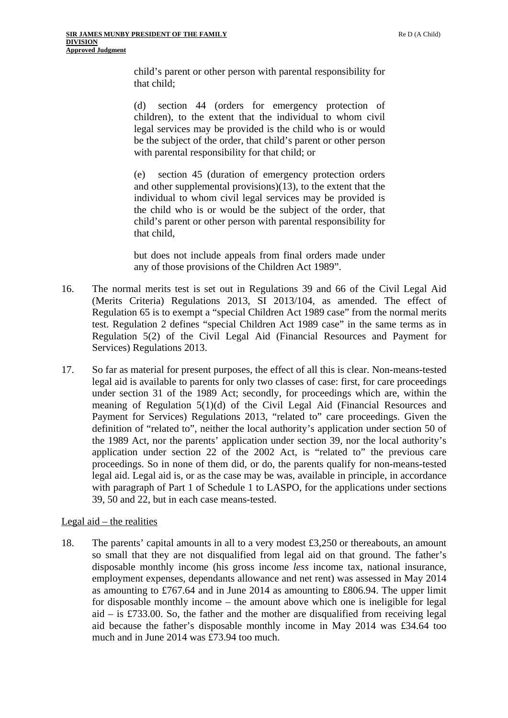child's parent or other person with parental responsibility for that child;

(d) section 44 (orders for emergency protection of children), to the extent that the individual to whom civil legal services may be provided is the child who is or would be the subject of the order, that child's parent or other person with parental responsibility for that child; or

(e) section 45 (duration of emergency protection orders and other supplemental provisions)(13), to the extent that the individual to whom civil legal services may be provided is the child who is or would be the subject of the order, that child's parent or other person with parental responsibility for that child,

but does not include appeals from final orders made under any of those provisions of the Children Act 1989".

- 16. The normal merits test is set out in Regulations 39 and 66 of the Civil Legal Aid (Merits Criteria) Regulations 2013, SI 2013/104, as amended. The effect of Regulation 65 is to exempt a "special Children Act 1989 case" from the normal merits test. Regulation 2 defines "special Children Act 1989 case" in the same terms as in Regulation 5(2) of the Civil Legal Aid (Financial Resources and Payment for Services) Regulations 2013.
- 17. So far as material for present purposes, the effect of all this is clear. Non-means-tested legal aid is available to parents for only two classes of case: first, for care proceedings under section 31 of the 1989 Act; secondly, for proceedings which are, within the meaning of Regulation 5(1)(d) of the Civil Legal Aid (Financial Resources and Payment for Services) Regulations 2013, "related to" care proceedings. Given the definition of "related to", neither the local authority's application under section 50 of the 1989 Act, nor the parents' application under section 39, nor the local authority's application under section 22 of the 2002 Act, is "related to" the previous care proceedings. So in none of them did, or do, the parents qualify for non-means-tested legal aid. Legal aid is, or as the case may be was, available in principle, in accordance with paragraph of Part 1 of Schedule 1 to LASPO, for the applications under sections 39, 50 and 22, but in each case means-tested.

## Legal aid  $-$  the realities

18. The parents' capital amounts in all to a very modest £3,250 or thereabouts, an amount so small that they are not disqualified from legal aid on that ground. The father's disposable monthly income (his gross income *less* income tax, national insurance, employment expenses, dependants allowance and net rent) was assessed in May 2014 as amounting to £767.64 and in June 2014 as amounting to £806.94. The upper limit for disposable monthly income – the amount above which one is ineligible for legal aid – is £733.00. So, the father and the mother are disqualified from receiving legal aid because the father's disposable monthly income in May 2014 was £34.64 too much and in June 2014 was £73.94 too much.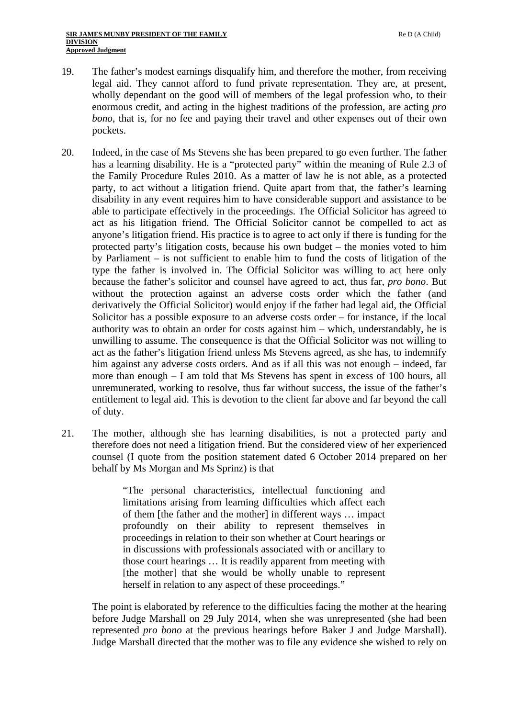- 19. The father's modest earnings disqualify him, and therefore the mother, from receiving legal aid. They cannot afford to fund private representation. They are, at present, wholly dependant on the good will of members of the legal profession who, to their enormous credit, and acting in the highest traditions of the profession, are acting *pro bono*, that is, for no fee and paying their travel and other expenses out of their own pockets.
- 20. Indeed, in the case of Ms Stevens she has been prepared to go even further. The father has a learning disability. He is a "protected party" within the meaning of Rule 2.3 of the Family Procedure Rules 2010. As a matter of law he is not able, as a protected party, to act without a litigation friend. Quite apart from that, the father's learning disability in any event requires him to have considerable support and assistance to be able to participate effectively in the proceedings. The Official Solicitor has agreed to act as his litigation friend. The Official Solicitor cannot be compelled to act as anyone's litigation friend. His practice is to agree to act only if there is funding for the protected party's litigation costs, because his own budget – the monies voted to him by Parliament – is not sufficient to enable him to fund the costs of litigation of the type the father is involved in. The Official Solicitor was willing to act here only because the father's solicitor and counsel have agreed to act, thus far, *pro bono*. But without the protection against an adverse costs order which the father (and derivatively the Official Solicitor) would enjoy if the father had legal aid, the Official Solicitor has a possible exposure to an adverse costs order – for instance, if the local authority was to obtain an order for costs against him – which, understandably, he is unwilling to assume. The consequence is that the Official Solicitor was not willing to act as the father's litigation friend unless Ms Stevens agreed, as she has, to indemnify him against any adverse costs orders. And as if all this was not enough – indeed, far more than enough – I am told that Ms Stevens has spent in excess of 100 hours, all unremunerated, working to resolve, thus far without success, the issue of the father's entitlement to legal aid. This is devotion to the client far above and far beyond the call of duty.
- 21. The mother, although she has learning disabilities, is not a protected party and therefore does not need a litigation friend. But the considered view of her experienced counsel (I quote from the position statement dated 6 October 2014 prepared on her behalf by Ms Morgan and Ms Sprinz) is that

"The personal characteristics, intellectual functioning and limitations arising from learning difficulties which affect each of them [the father and the mother] in different ways … impact profoundly on their ability to represent themselves in proceedings in relation to their son whether at Court hearings or in discussions with professionals associated with or ancillary to those court hearings … It is readily apparent from meeting with [the mother] that she would be wholly unable to represent herself in relation to any aspect of these proceedings."

The point is elaborated by reference to the difficulties facing the mother at the hearing before Judge Marshall on 29 July 2014, when she was unrepresented (she had been represented *pro bono* at the previous hearings before Baker J and Judge Marshall). Judge Marshall directed that the mother was to file any evidence she wished to rely on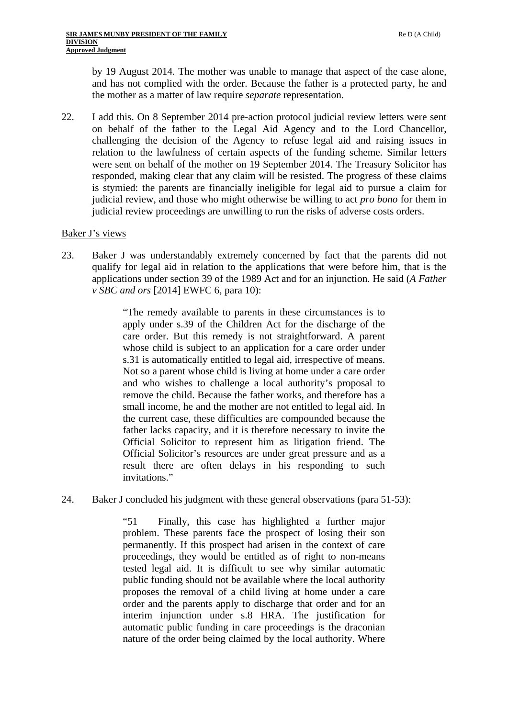by 19 August 2014. The mother was unable to manage that aspect of the case alone, and has not complied with the order. Because the father is a protected party, he and the mother as a matter of law require *separate* representation.

22. I add this. On 8 September 2014 pre-action protocol judicial review letters were sent on behalf of the father to the Legal Aid Agency and to the Lord Chancellor, challenging the decision of the Agency to refuse legal aid and raising issues in relation to the lawfulness of certain aspects of the funding scheme. Similar letters were sent on behalf of the mother on 19 September 2014. The Treasury Solicitor has responded, making clear that any claim will be resisted. The progress of these claims is stymied: the parents are financially ineligible for legal aid to pursue a claim for judicial review, and those who might otherwise be willing to act *pro bono* for them in judicial review proceedings are unwilling to run the risks of adverse costs orders.

### Baker J's views

23. Baker J was understandably extremely concerned by fact that the parents did not qualify for legal aid in relation to the applications that were before him, that is the applications under section 39 of the 1989 Act and for an injunction. He said (*A Father v SBC and ors* [2014] EWFC 6, para 10):

> "The remedy available to parents in these circumstances is to apply under s.39 of the Children Act for the discharge of the care order. But this remedy is not straightforward. A parent whose child is subject to an application for a care order under s.31 is automatically entitled to legal aid, irrespective of means. Not so a parent whose child is living at home under a care order and who wishes to challenge a local authority's proposal to remove the child. Because the father works, and therefore has a small income, he and the mother are not entitled to legal aid. In the current case, these difficulties are compounded because the father lacks capacity, and it is therefore necessary to invite the Official Solicitor to represent him as litigation friend. The Official Solicitor's resources are under great pressure and as a result there are often delays in his responding to such invitations."

24. Baker J concluded his judgment with these general observations (para 51-53):

"51 Finally, this case has highlighted a further major problem. These parents face the prospect of losing their son permanently. If this prospect had arisen in the context of care proceedings, they would be entitled as of right to non-means tested legal aid. It is difficult to see why similar automatic public funding should not be available where the local authority proposes the removal of a child living at home under a care order and the parents apply to discharge that order and for an interim injunction under s.8 HRA. The justification for automatic public funding in care proceedings is the draconian nature of the order being claimed by the local authority. Where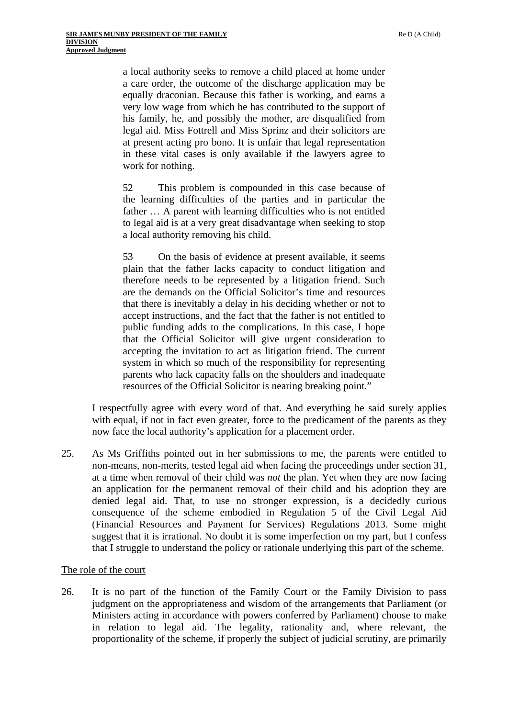a local authority seeks to remove a child placed at home under a care order, the outcome of the discharge application may be equally draconian. Because this father is working, and earns a very low wage from which he has contributed to the support of his family, he, and possibly the mother, are disqualified from legal aid. Miss Fottrell and Miss Sprinz and their solicitors are at present acting pro bono. It is unfair that legal representation in these vital cases is only available if the lawyers agree to work for nothing.

52 This problem is compounded in this case because of the learning difficulties of the parties and in particular the father ... A parent with learning difficulties who is not entitled to legal aid is at a very great disadvantage when seeking to stop a local authority removing his child.

53 On the basis of evidence at present available, it seems plain that the father lacks capacity to conduct litigation and therefore needs to be represented by a litigation friend. Such are the demands on the Official Solicitor's time and resources that there is inevitably a delay in his deciding whether or not to accept instructions, and the fact that the father is not entitled to public funding adds to the complications. In this case, I hope that the Official Solicitor will give urgent consideration to accepting the invitation to act as litigation friend. The current system in which so much of the responsibility for representing parents who lack capacity falls on the shoulders and inadequate resources of the Official Solicitor is nearing breaking point."

I respectfully agree with every word of that. And everything he said surely applies with equal, if not in fact even greater, force to the predicament of the parents as they now face the local authority's application for a placement order.

25. As Ms Griffiths pointed out in her submissions to me, the parents were entitled to non-means, non-merits, tested legal aid when facing the proceedings under section 31, at a time when removal of their child was *not* the plan. Yet when they are now facing an application for the permanent removal of their child and his adoption they are denied legal aid. That, to use no stronger expression, is a decidedly curious consequence of the scheme embodied in Regulation 5 of the Civil Legal Aid (Financial Resources and Payment for Services) Regulations 2013. Some might suggest that it is irrational. No doubt it is some imperfection on my part, but I confess that I struggle to understand the policy or rationale underlying this part of the scheme.

#### The role of the court

26. It is no part of the function of the Family Court or the Family Division to pass judgment on the appropriateness and wisdom of the arrangements that Parliament (or Ministers acting in accordance with powers conferred by Parliament) choose to make in relation to legal aid. The legality, rationality and, where relevant, the proportionality of the scheme, if properly the subject of judicial scrutiny, are primarily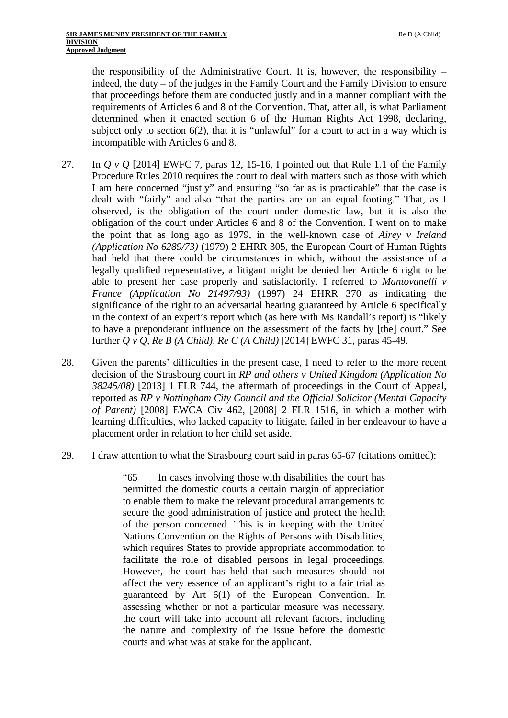the responsibility of the Administrative Court. It is, however, the responsibility – indeed, the duty – of the judges in the Family Court and the Family Division to ensure that proceedings before them are conducted justly and in a manner compliant with the requirements of Articles 6 and 8 of the Convention. That, after all, is what Parliament determined when it enacted section 6 of the Human Rights Act 1998, declaring, subject only to section 6(2), that it is "unlawful" for a court to act in a way which is incompatible with Articles 6 and 8.

- 27. In *Q v Q* [2014] EWFC 7, paras 12, 15-16, I pointed out that Rule 1.1 of the Family Procedure Rules 2010 requires the court to deal with matters such as those with which I am here concerned "justly" and ensuring "so far as is practicable" that the case is dealt with "fairly" and also "that the parties are on an equal footing." That, as I observed, is the obligation of the court under domestic law, but it is also the obligation of the court under Articles 6 and 8 of the Convention. I went on to make the point that as long ago as 1979, in the well-known case of *Airey v Ireland (Application No 6289/73)* (1979) 2 EHRR 305, the European Court of Human Rights had held that there could be circumstances in which, without the assistance of a legally qualified representative, a litigant might be denied her Article 6 right to be able to present her case properly and satisfactorily. I referred to *Mantovanelli v France (Application No 21497/93)* (1997) 24 EHRR 370 as indicating the significance of the right to an adversarial hearing guaranteed by Article 6 specifically in the context of an expert's report which (as here with Ms Randall's report) is "likely to have a preponderant influence on the assessment of the facts by [the] court." See further *Q v Q, Re B (A Child), Re C (A Child)* [2014] EWFC 31, paras 45-49.
- 28. Given the parents' difficulties in the present case, I need to refer to the more recent decision of the Strasbourg court in *RP and others v United Kingdom (Application No 38245/08)* [2013] 1 FLR 744, the aftermath of proceedings in the Court of Appeal, reported as *RP v Nottingham City Council and the Official Solicitor (Mental Capacity of Parent)* [2008] EWCA Civ 462, [2008] 2 FLR 1516, in which a mother with learning difficulties, who lacked capacity to litigate, failed in her endeavour to have a placement order in relation to her child set aside.
- 29. I draw attention to what the Strasbourg court said in paras 65-67 (citations omitted):

"65 In cases involving those with disabilities the court has permitted the domestic courts a certain margin of appreciation to enable them to make the relevant procedural arrangements to secure the good administration of justice and protect the health of the person concerned. This is in keeping with the United Nations Convention on the Rights of Persons with Disabilities, which requires States to provide appropriate accommodation to facilitate the role of disabled persons in legal proceedings. However, the court has held that such measures should not affect the very essence of an applicant's right to a fair trial as guaranteed by Art 6(1) of the European Convention. In assessing whether or not a particular measure was necessary, the court will take into account all relevant factors, including the nature and complexity of the issue before the domestic courts and what was at stake for the applicant.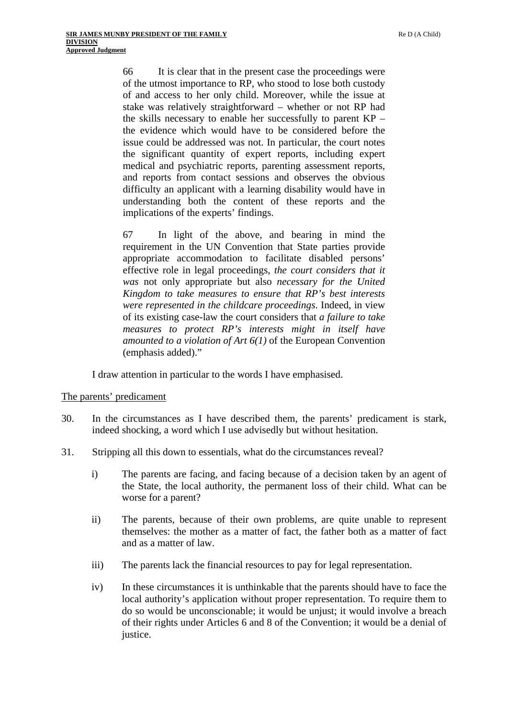66 It is clear that in the present case the proceedings were of the utmost importance to RP, who stood to lose both custody of and access to her only child. Moreover, while the issue at stake was relatively straightforward – whether or not RP had the skills necessary to enable her successfully to parent KP – the evidence which would have to be considered before the issue could be addressed was not. In particular, the court notes the significant quantity of expert reports, including expert medical and psychiatric reports, parenting assessment reports, and reports from contact sessions and observes the obvious difficulty an applicant with a learning disability would have in understanding both the content of these reports and the implications of the experts' findings.

67 In light of the above, and bearing in mind the requirement in the UN Convention that State parties provide appropriate accommodation to facilitate disabled persons' effective role in legal proceedings, *the court considers that it was* not only appropriate but also *necessary for the United Kingdom to take measures to ensure that RP's best interests were represented in the childcare proceedings*. Indeed, in view of its existing case-law the court considers that *a failure to take measures to protect RP's interests might in itself have amounted to a violation of Art 6(1)* of the European Convention (emphasis added)."

I draw attention in particular to the words I have emphasised.

#### The parents' predicament

- 30. In the circumstances as I have described them, the parents' predicament is stark, indeed shocking, a word which I use advisedly but without hesitation.
- 31. Stripping all this down to essentials, what do the circumstances reveal?
	- i) The parents are facing, and facing because of a decision taken by an agent of the State, the local authority, the permanent loss of their child. What can be worse for a parent?
	- ii) The parents, because of their own problems, are quite unable to represent themselves: the mother as a matter of fact, the father both as a matter of fact and as a matter of law.
	- iii) The parents lack the financial resources to pay for legal representation.
	- iv) In these circumstances it is unthinkable that the parents should have to face the local authority's application without proper representation. To require them to do so would be unconscionable; it would be unjust; it would involve a breach of their rights under Articles 6 and 8 of the Convention; it would be a denial of justice.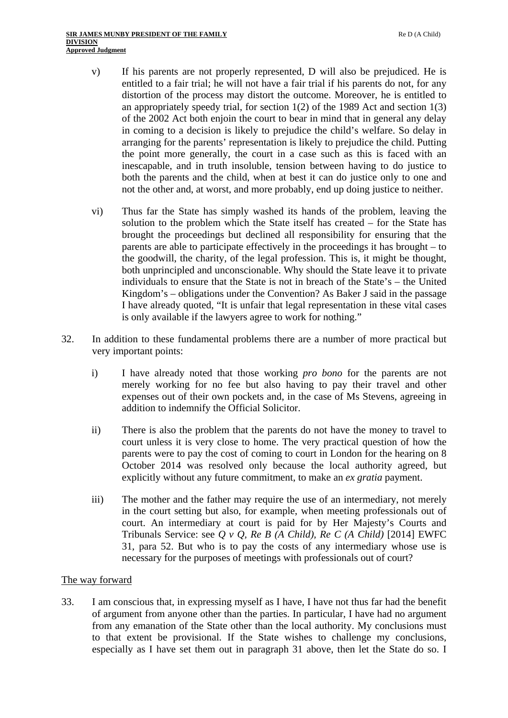- v) If his parents are not properly represented, D will also be prejudiced. He is entitled to a fair trial; he will not have a fair trial if his parents do not, for any distortion of the process may distort the outcome. Moreover, he is entitled to an appropriately speedy trial, for section  $1(2)$  of the 1989 Act and section  $1(3)$ of the 2002 Act both enjoin the court to bear in mind that in general any delay in coming to a decision is likely to prejudice the child's welfare. So delay in arranging for the parents' representation is likely to prejudice the child. Putting the point more generally, the court in a case such as this is faced with an inescapable, and in truth insoluble, tension between having to do justice to both the parents and the child, when at best it can do justice only to one and not the other and, at worst, and more probably, end up doing justice to neither.
- vi) Thus far the State has simply washed its hands of the problem, leaving the solution to the problem which the State itself has created – for the State has brought the proceedings but declined all responsibility for ensuring that the parents are able to participate effectively in the proceedings it has brought – to the goodwill, the charity, of the legal profession. This is, it might be thought, both unprincipled and unconscionable. Why should the State leave it to private individuals to ensure that the State is not in breach of the State's – the United Kingdom's – obligations under the Convention? As Baker J said in the passage I have already quoted, "It is unfair that legal representation in these vital cases is only available if the lawyers agree to work for nothing."
- 32. In addition to these fundamental problems there are a number of more practical but very important points:
	- i) I have already noted that those working *pro bono* for the parents are not merely working for no fee but also having to pay their travel and other expenses out of their own pockets and, in the case of Ms Stevens, agreeing in addition to indemnify the Official Solicitor.
	- ii) There is also the problem that the parents do not have the money to travel to court unless it is very close to home. The very practical question of how the parents were to pay the cost of coming to court in London for the hearing on 8 October 2014 was resolved only because the local authority agreed, but explicitly without any future commitment, to make an *ex gratia* payment.
	- iii) The mother and the father may require the use of an intermediary, not merely in the court setting but also, for example, when meeting professionals out of court. An intermediary at court is paid for by Her Majesty's Courts and Tribunals Service: see *Q v Q, Re B (A Child), Re C (A Child)* [2014] EWFC 31, para 52. But who is to pay the costs of any intermediary whose use is necessary for the purposes of meetings with professionals out of court?

## The way forward

33. I am conscious that, in expressing myself as I have, I have not thus far had the benefit of argument from anyone other than the parties. In particular, I have had no argument from any emanation of the State other than the local authority. My conclusions must to that extent be provisional. If the State wishes to challenge my conclusions, especially as I have set them out in paragraph 31 above, then let the State do so. I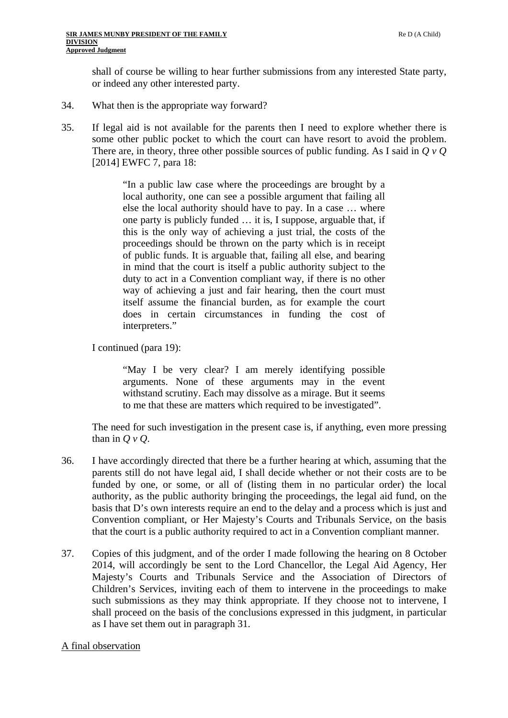shall of course be willing to hear further submissions from any interested State party, or indeed any other interested party.

- What then is the appropriate way forward?
- 34. What then is the appropriate way forward?<br>35. If legal aid is not available for the parents then I need to explore whether there is some other public pocket to which the court can have resort to avoid the problem. There are, in theory, three other possible sources of public funding. As I said in *Q v Q*  [2014] EWFC 7, para 18:

"In a public law case where the proceedings are brought by a local authority, one can see a possible argument that failing all else the local authority should have to pay. In a case … where one party is publicly funded … it is, I suppose, arguable that, if this is the only way of achieving a just trial, the costs of the proceedings should be thrown on the party which is in receipt of public funds. It is arguable that, failing all else, and bearing in mind that the court is itself a public authority subject to the duty to act in a Convention compliant way, if there is no other way of achieving a just and fair hearing, then the court must itself assume the financial burden, as for example the court does in certain circumstances in funding the cost of interpreters."

I continued (para 19):

"May I be very clear? I am merely identifying possible arguments. None of these arguments may in the event withstand scrutiny. Each may dissolve as a mirage. But it seems to me that these are matters which required to be investigated".

The need for such investigation in the present case is, if anything, even more pressing than in *Q v Q*.

- 36. I have accordingly directed that there be a further hearing at which, assuming that the parents still do not have legal aid, I shall decide whether or not their costs are to be funded by one, or some, or all of (listing them in no particular order) the local authority, as the public authority bringing the proceedings, the legal aid fund, on the basis that D's own interests require an end to the delay and a process which is just and Convention compliant, or Her Majesty's Courts and Tribunals Service, on the basis that the court is a public authority required to act in a Convention compliant manner.
- 37. Copies of this judgment, and of the order I made following the hearing on 8 October 2014, will accordingly be sent to the Lord Chancellor, the Legal Aid Agency, Her Majesty's Courts and Tribunals Service and the Association of Directors of Children's Services, inviting each of them to intervene in the proceedings to make such submissions as they may think appropriate. If they choose not to intervene, I shall proceed on the basis of the conclusions expressed in this judgment, in particular as I have set them out in paragraph 31.

## A final observation